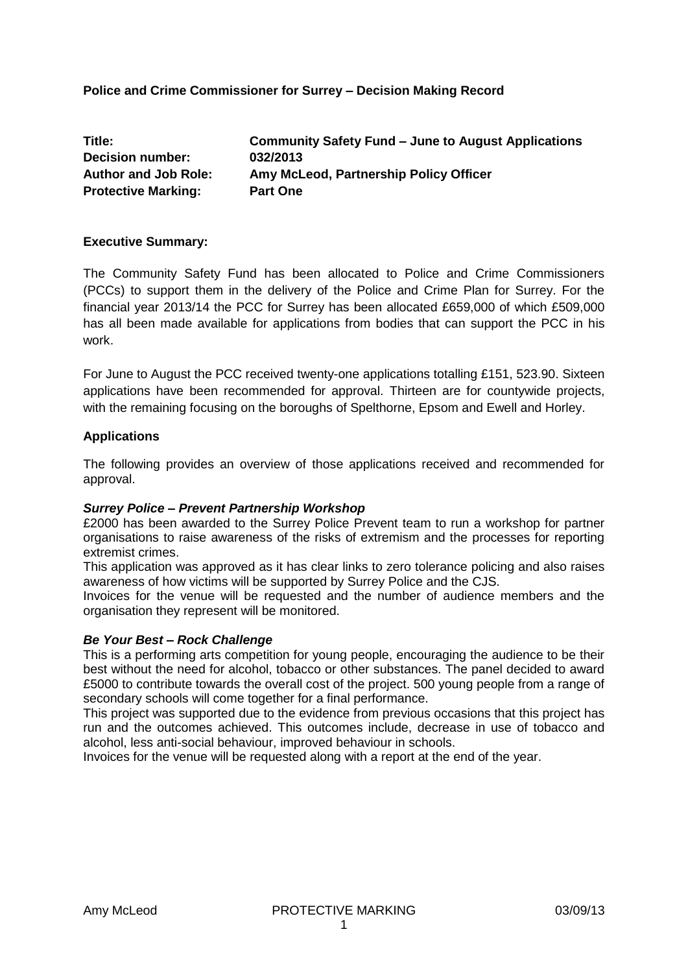## **Police and Crime Commissioner for Surrey – Decision Making Record**

| Title:                      | Community Safety Fund – June to August Applications |
|-----------------------------|-----------------------------------------------------|
| <b>Decision number:</b>     | 032/2013                                            |
| <b>Author and Job Role:</b> | Amy McLeod, Partnership Policy Officer              |
| <b>Protective Marking:</b>  | <b>Part One</b>                                     |

### **Executive Summary:**

The Community Safety Fund has been allocated to Police and Crime Commissioners (PCCs) to support them in the delivery of the Police and Crime Plan for Surrey. For the financial year 2013/14 the PCC for Surrey has been allocated £659,000 of which £509,000 has all been made available for applications from bodies that can support the PCC in his work.

For June to August the PCC received twenty-one applications totalling £151, 523.90. Sixteen applications have been recommended for approval. Thirteen are for countywide projects, with the remaining focusing on the boroughs of Spelthorne, Epsom and Ewell and Horley.

### **Applications**

The following provides an overview of those applications received and recommended for approval.

#### *Surrey Police – Prevent Partnership Workshop*

£2000 has been awarded to the Surrey Police Prevent team to run a workshop for partner organisations to raise awareness of the risks of extremism and the processes for reporting extremist crimes.

This application was approved as it has clear links to zero tolerance policing and also raises awareness of how victims will be supported by Surrey Police and the CJS.

Invoices for the venue will be requested and the number of audience members and the organisation they represent will be monitored.

#### *Be Your Best – Rock Challenge*

This is a performing arts competition for young people, encouraging the audience to be their best without the need for alcohol, tobacco or other substances. The panel decided to award £5000 to contribute towards the overall cost of the project. 500 young people from a range of secondary schools will come together for a final performance.

This project was supported due to the evidence from previous occasions that this project has run and the outcomes achieved. This outcomes include, decrease in use of tobacco and alcohol, less anti-social behaviour, improved behaviour in schools.

Invoices for the venue will be requested along with a report at the end of the year.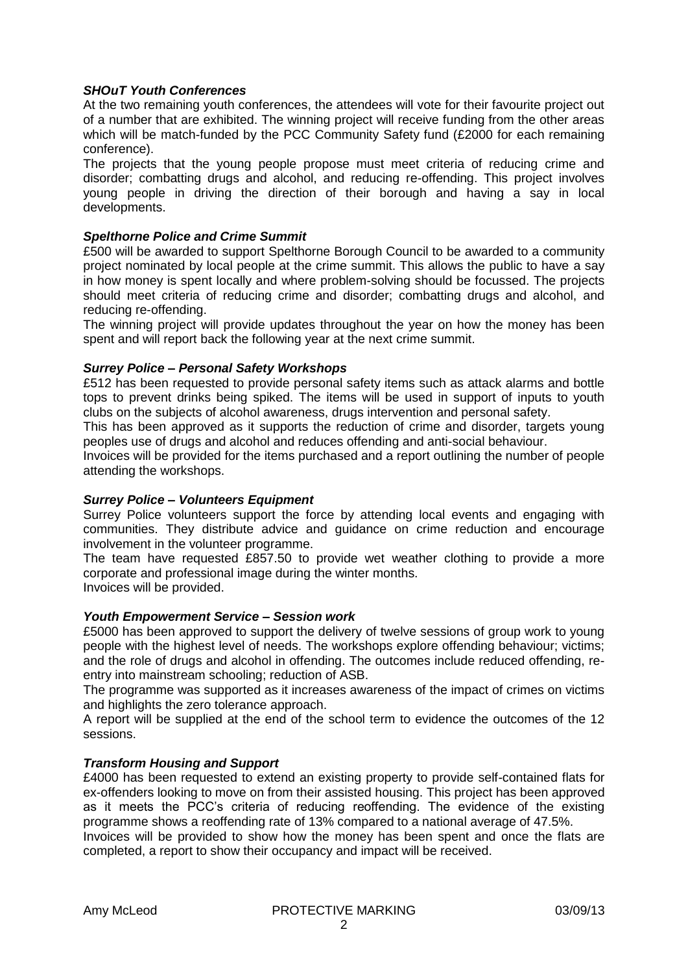### *SHOuT Youth Conferences*

At the two remaining youth conferences, the attendees will vote for their favourite project out of a number that are exhibited. The winning project will receive funding from the other areas which will be match-funded by the PCC Community Safety fund (£2000 for each remaining conference).

The projects that the young people propose must meet criteria of reducing crime and disorder; combatting drugs and alcohol, and reducing re-offending. This project involves young people in driving the direction of their borough and having a say in local developments.

### *Spelthorne Police and Crime Summit*

£500 will be awarded to support Spelthorne Borough Council to be awarded to a community project nominated by local people at the crime summit. This allows the public to have a say in how money is spent locally and where problem-solving should be focussed. The projects should meet criteria of reducing crime and disorder; combatting drugs and alcohol, and reducing re-offending.

The winning project will provide updates throughout the year on how the money has been spent and will report back the following year at the next crime summit.

### *Surrey Police – Personal Safety Workshops*

£512 has been requested to provide personal safety items such as attack alarms and bottle tops to prevent drinks being spiked. The items will be used in support of inputs to youth clubs on the subjects of alcohol awareness, drugs intervention and personal safety.

This has been approved as it supports the reduction of crime and disorder, targets young peoples use of drugs and alcohol and reduces offending and anti-social behaviour.

Invoices will be provided for the items purchased and a report outlining the number of people attending the workshops.

#### *Surrey Police – Volunteers Equipment*

Surrey Police volunteers support the force by attending local events and engaging with communities. They distribute advice and guidance on crime reduction and encourage involvement in the volunteer programme.

The team have requested £857.50 to provide wet weather clothing to provide a more corporate and professional image during the winter months. Invoices will be provided.

#### *Youth Empowerment Service – Session work*

£5000 has been approved to support the delivery of twelve sessions of group work to young people with the highest level of needs. The workshops explore offending behaviour; victims; and the role of drugs and alcohol in offending. The outcomes include reduced offending, reentry into mainstream schooling; reduction of ASB.

The programme was supported as it increases awareness of the impact of crimes on victims and highlights the zero tolerance approach.

A report will be supplied at the end of the school term to evidence the outcomes of the 12 sessions.

#### *Transform Housing and Support*

£4000 has been requested to extend an existing property to provide self-contained flats for ex-offenders looking to move on from their assisted housing. This project has been approved as it meets the PCC's criteria of reducing reoffending. The evidence of the existing programme shows a reoffending rate of 13% compared to a national average of 47.5%.

Invoices will be provided to show how the money has been spent and once the flats are completed, a report to show their occupancy and impact will be received.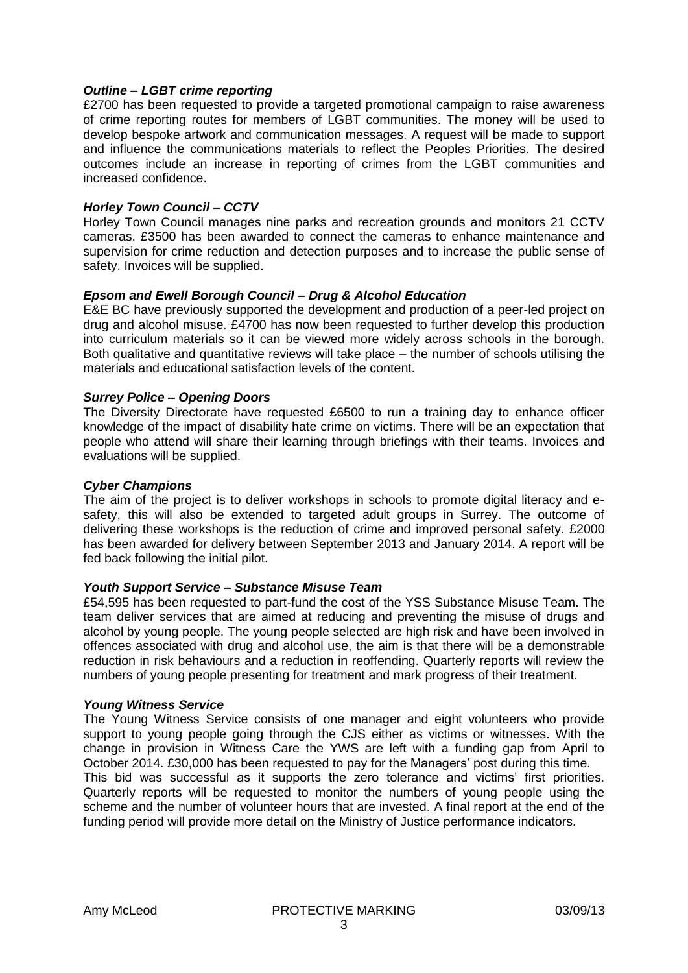### *Outline – LGBT crime reporting*

£2700 has been requested to provide a targeted promotional campaign to raise awareness of crime reporting routes for members of LGBT communities. The money will be used to develop bespoke artwork and communication messages. A request will be made to support and influence the communications materials to reflect the Peoples Priorities. The desired outcomes include an increase in reporting of crimes from the LGBT communities and increased confidence.

### *Horley Town Council – CCTV*

Horley Town Council manages nine parks and recreation grounds and monitors 21 CCTV cameras. £3500 has been awarded to connect the cameras to enhance maintenance and supervision for crime reduction and detection purposes and to increase the public sense of safety. Invoices will be supplied.

### *Epsom and Ewell Borough Council – Drug & Alcohol Education*

E&E BC have previously supported the development and production of a peer-led project on drug and alcohol misuse. £4700 has now been requested to further develop this production into curriculum materials so it can be viewed more widely across schools in the borough. Both qualitative and quantitative reviews will take place – the number of schools utilising the materials and educational satisfaction levels of the content.

### *Surrey Police – Opening Doors*

The Diversity Directorate have requested £6500 to run a training day to enhance officer knowledge of the impact of disability hate crime on victims. There will be an expectation that people who attend will share their learning through briefings with their teams. Invoices and evaluations will be supplied.

### *Cyber Champions*

The aim of the project is to deliver workshops in schools to promote digital literacy and esafety, this will also be extended to targeted adult groups in Surrey. The outcome of delivering these workshops is the reduction of crime and improved personal safety. £2000 has been awarded for delivery between September 2013 and January 2014. A report will be fed back following the initial pilot.

#### *Youth Support Service – Substance Misuse Team*

£54,595 has been requested to part-fund the cost of the YSS Substance Misuse Team. The team deliver services that are aimed at reducing and preventing the misuse of drugs and alcohol by young people. The young people selected are high risk and have been involved in offences associated with drug and alcohol use, the aim is that there will be a demonstrable reduction in risk behaviours and a reduction in reoffending. Quarterly reports will review the numbers of young people presenting for treatment and mark progress of their treatment.

#### *Young Witness Service*

The Young Witness Service consists of one manager and eight volunteers who provide support to young people going through the CJS either as victims or witnesses. With the change in provision in Witness Care the YWS are left with a funding gap from April to October 2014. £30,000 has been requested to pay for the Managers' post during this time. This bid was successful as it supports the zero tolerance and victims' first priorities. Quarterly reports will be requested to monitor the numbers of young people using the scheme and the number of volunteer hours that are invested. A final report at the end of the funding period will provide more detail on the Ministry of Justice performance indicators.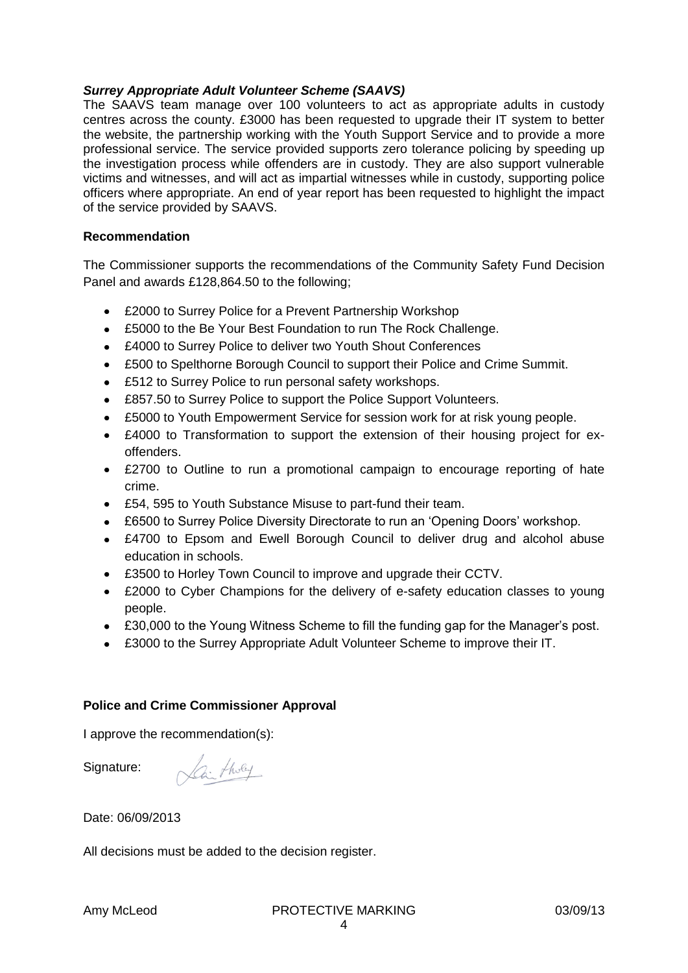### *Surrey Appropriate Adult Volunteer Scheme (SAAVS)*

The SAAVS team manage over 100 volunteers to act as appropriate adults in custody centres across the county. £3000 has been requested to upgrade their IT system to better the website, the partnership working with the Youth Support Service and to provide a more professional service. The service provided supports zero tolerance policing by speeding up the investigation process while offenders are in custody. They are also support vulnerable victims and witnesses, and will act as impartial witnesses while in custody, supporting police officers where appropriate. An end of year report has been requested to highlight the impact of the service provided by SAAVS.

### **Recommendation**

The Commissioner supports the recommendations of the Community Safety Fund Decision Panel and awards £128,864.50 to the following;

- £2000 to Surrey Police for a Prevent Partnership Workshop
- £5000 to the Be Your Best Foundation to run The Rock Challenge.
- £4000 to Surrey Police to deliver two Youth Shout Conferences
- £500 to Spelthorne Borough Council to support their Police and Crime Summit.
- £512 to Surrey Police to run personal safety workshops.
- £857.50 to Surrey Police to support the Police Support Volunteers.
- £5000 to Youth Empowerment Service for session work for at risk young people.  $\bullet$
- £4000 to Transformation to support the extension of their housing project for exoffenders.
- £2700 to Outline to run a promotional campaign to encourage reporting of hate crime.
- £54, 595 to Youth Substance Misuse to part-fund their team.
- £6500 to Surrey Police Diversity Directorate to run an 'Opening Doors' workshop.
- £4700 to Epsom and Ewell Borough Council to deliver drug and alcohol abuse education in schools.
- £3500 to Horley Town Council to improve and upgrade their CCTV.
- £2000 to Cyber Champions for the delivery of e-safety education classes to young people.
- £30,000 to the Young Witness Scheme to fill the funding gap for the Manager's post.
- £3000 to the Surrey Appropriate Adult Volunteer Scheme to improve their IT.

### **Police and Crime Commissioner Approval**

I approve the recommendation(s):

Lai tholy Signature:

Date: 06/09/2013

All decisions must be added to the decision register.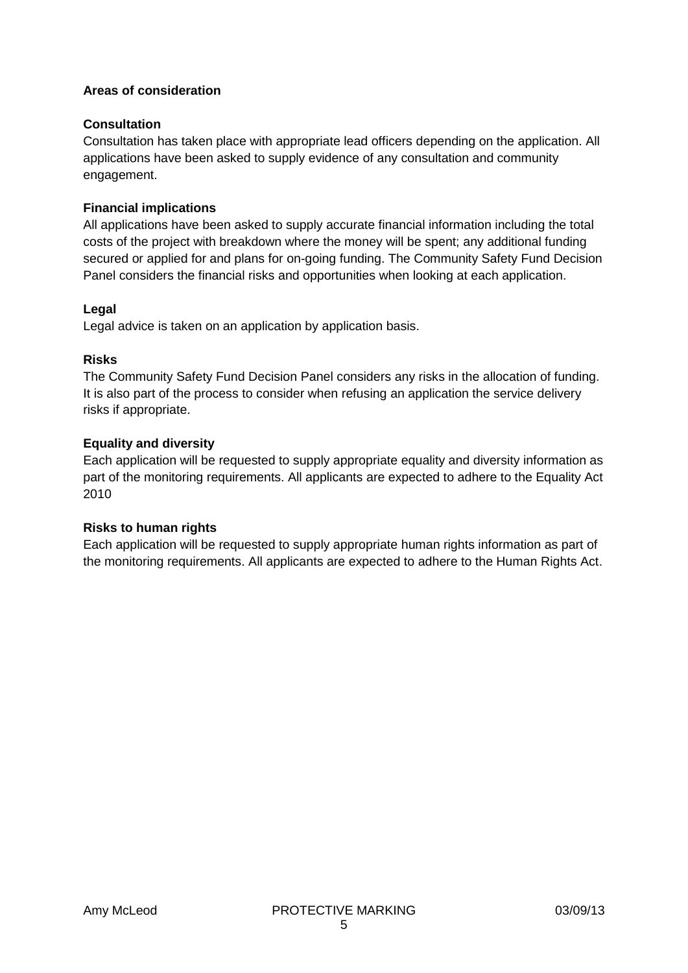## **Areas of consideration**

## **Consultation**

Consultation has taken place with appropriate lead officers depending on the application. All applications have been asked to supply evidence of any consultation and community engagement.

# **Financial implications**

All applications have been asked to supply accurate financial information including the total costs of the project with breakdown where the money will be spent; any additional funding secured or applied for and plans for on-going funding. The Community Safety Fund Decision Panel considers the financial risks and opportunities when looking at each application.

## **Legal**

Legal advice is taken on an application by application basis.

## **Risks**

The Community Safety Fund Decision Panel considers any risks in the allocation of funding. It is also part of the process to consider when refusing an application the service delivery risks if appropriate.

## **Equality and diversity**

Each application will be requested to supply appropriate equality and diversity information as part of the monitoring requirements. All applicants are expected to adhere to the Equality Act 2010

## **Risks to human rights**

Each application will be requested to supply appropriate human rights information as part of the monitoring requirements. All applicants are expected to adhere to the Human Rights Act.